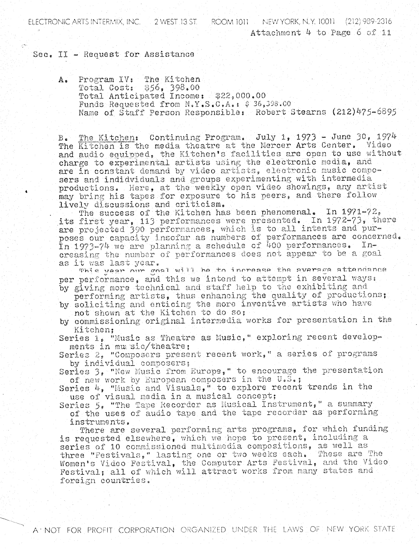ELECTRONIC ARTS INTERMIX, INC. [1] 2 WEST 13 ST. [1] ROOM 1011 [1] NEW YORK, N.Y. 10011 [1212] 989-2316 Attachment 4 to Page 6 of 11

## Sec. II - Request for Assistance

Program IV: The Kitchen A. Total Cost: \$56, 398.00 Total Anticipated Income: \$22,000.00 Funds Requested from N.Y.S.C.A.: \$ 36,398.00 Name of Staff Person Responsible: Robert Stearns (212)475-6895

The Kitchen: Continuing Program. July 1, 1973 - June 30, 1974  $B_{\bullet}$ The Kitchen is the media theatre at the Mercer Arts Center. Video and audio equipped, the Kitchen's facilities are open to use without charge to experimental artists using the electronic media, and are in constant demand by video artists, electronic music composers and indidviduals and groups experimenting with intermedia productions. Here, at the weekly open video showings, any artist may bring his tapes for exposure to his peers, and there follow lively discussions and criticism.

The success of the Kitchen has been phenomenal. In 1971-72. its first year, 113 performances were presented. In 1972-73, there are projected 390 performances, which is to all intents and purposes our capacity insofar as numbers of performances are concerned. In 1973-74 we are planning a schedule of 400 performances. Increasing the number of performances does not appear to be a goal as it was last year.

This year nur goal will be to increase the average attendance per performance, and this we intend to attempt in several ways:

- by giving more technical and staff help to the exhibiting and performing artists, thus enhancing the quality of productions. by soliciting and enticing the more inventive artists who have
- not shown at the Kitchen to do so;

by commissioning original intermedia works for presentation in the Kitchen:

Series 1. "Music as Theatre as Music." exploring recent developments in mu sic/theatre:

Series 2, "Composers present recent work," a series of programs by individual composers;

Series 3, "New Music from Europe," to encourage the presentation of new work by European composers in the U.S.;

Series 4. "Music and Visuals," to explore recent trends in the use of visual media in a musical concept;

Series 5. "The Tape Recorder as Musical Instrument," a summary of the uses of audio tape and the tape recorder as performing instruments.

There are several performing arts programs, for which funding is requested elsewhere, which we hope to present, including a series of 10 commissioned multimedia compositions, as well as three "Festivals," lasting one or two weeks each. These are The Women's Video Festival, the Computer Arts Festival, and the Video Festival; all of which will attract works from many states and foreign countries.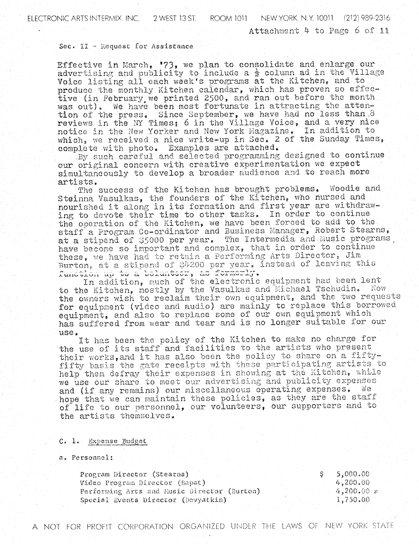## Sec. II - Request for Assistance

Effective in March, '73, we plan to consolidate and enlarge our advertising and publicity to include a  $\frac{1}{2}$  column ad in the Village Voice listing all each week's programs at the Kitchen, and to produce the monthly Kitchen calendar, which has proven so effective (in February we printed 2500, and ran out before the month We have been most fortunate in attracting the attenwas  $out)$ . tion of the press. Since September, we have had no less than  $8$ reviews in the NY Times; 6 in the Village Voice, and a very nice notice in the New Yorker and New York Magazine. In addition to which, we received a nice write-up in Sec. 2 of the Sunday Times, complete with photo. Examples are attached.

By such careful and selected programming designed to continue our original concern with creative experimentation we expect simultaneously to develop a broader audience and to reach more artists.

The success of the Kitchen has brought problems. Woodie and Steinna Vasulkas, the founders of the Kitchen, who nursed and nourished it along in its formation and first year are withdrawing to devote their time to other tasks. In order to continue the operation of the Kitchen, we have been forced to add to the staff a Program Co-ordinator and Business Manager, Robert Stearns, at a stipend of \$5000 per year. The Intermedia and Music programs have become so important and complex, that in order to continue these, we have had to retain a Performing Arts Director, Jim Burton, at a stipend of \$4200 per year, instead of leaving this function up to a bolunteer, as formerly.

In addition, much of the electronic equipment has been lent to the Kitchen, mostly by the Vasulkas and Michael Tschudin. Now the owners wish to reclaim their own equipment, and the two requests for equipment (video and audio) are mainly to replace this borrowed equipment, and also to replace some of our own equipment which has suffered from wear and tear and is no longer suitable for our use.

It has been the policy of the Kitchen to make no charge for the use of its staff and facilities to the artists who present their works, and it has also been the policy to share on a fiftyfifty basis the gate receipts with these participating artists to help them defray their expenses in showing at the Kitchen, while we use our share to meet our advertising and publicity expenses and (if any remains) our miscellaneous operating expenses. We hope that we can maintain these policies, as they are the staff of life to our personnel, our volunteers, our supporters and to the artists themselves.

## C. 1. Expense Budget

a. Personnel:

| Program Director (Stearns)                  | $-5,000.00$  |
|---------------------------------------------|--------------|
| Video Program Director (Bapat)              | 4,200.00     |
| Performing Arts and Music Director (Burton) | $4,200,00$ x |
| Special Events Director (Devyatkin)         | 1,750.00     |

A NOT FOR PROFIT CORPORATION ORGANIZED UNDER THE LAWS OF NEW YORK STATE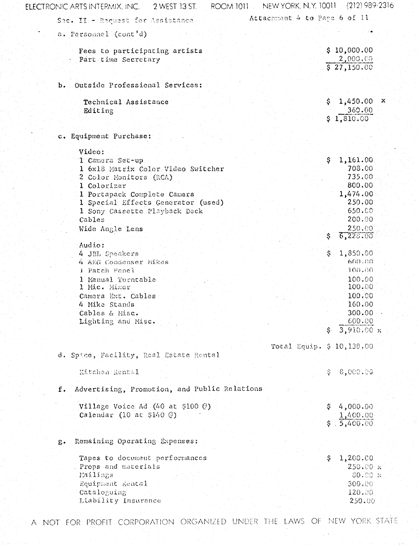| ELECTRONIC ARTS INTERMIX, INC. 2 WEST 13 ST.          | ROOM 1011 NEW YORK, N.Y. 10011 (212) 989-2316 |                             |
|-------------------------------------------------------|-----------------------------------------------|-----------------------------|
| Sec. II - Request for Assistance.                     | Attachment 4 to Page 6 of 11                  |                             |
| a. Personnel (cont'd)                                 |                                               |                             |
| Fees to participating artists<br>Part time Secretary  |                                               | \$10,000.00<br>2,000.00     |
|                                                       |                                               | \$27,150.00                 |
| Outside Professional Services:<br>ь.                  |                                               |                             |
| Technical Assistance                                  | \$.                                           | 1,450.00<br>x               |
| Editing                                               |                                               | 360.00                      |
|                                                       |                                               | \$1,810.00                  |
| c. Equipment Purchase:                                |                                               |                             |
| Video:                                                |                                               |                             |
| 1 Camera Sec-up                                       | \$.                                           | 1,161.00                    |
| 1 6x18 Matrix Color Video Switcher                    |                                               | 708.00                      |
| 2 Color Monitors (RCA)                                |                                               | 735.00                      |
| 1 Colorizer                                           |                                               | 800.00                      |
| 1 Portapack Complete Camera                           |                                               | 1,474.00                    |
| 1 Special Effects Generator (used)                    |                                               | 250.00                      |
| 1 Sony Cassette Playback Deck                         |                                               | 650.00                      |
| Cables                                                |                                               | 200.00                      |
| Wide Angle Lens                                       |                                               | 250,00                      |
|                                                       | S.                                            | 6,228.00                    |
| Audio:                                                |                                               |                             |
| 4 JBL Speakers                                        | S.                                            | 1,850.00                    |
| 4 AKG Condenser Mikes                                 |                                               | 600.00                      |
| 1 Patch Panel                                         |                                               | 100.00                      |
| 1 Manual Turntable                                    |                                               | 100.00                      |
| 1 Mic. Mixer                                          |                                               | 100.00                      |
| Camera Ext. Cables                                    |                                               | 100.00                      |
| 4 Mike Stands                                         |                                               | 160.00                      |
| Cables & Misc.                                        |                                               | 300.00                      |
|                                                       |                                               | 600.00                      |
| Lighting and Misc.                                    |                                               |                             |
|                                                       |                                               | $\frac{1}{2}$ , 910.00 x    |
|                                                       | Total Equip. \$ 10, 138.00                    |                             |
| d. Space, Facility, Real Estate Rental                |                                               |                             |
| Kitchen Rental                                        |                                               | \$8,000.09                  |
| Advertising, Promotion, and Public Relations<br>$f$ . |                                               |                             |
| Village Voice Ad (40 at \$100 $\circledcirc$ )        |                                               | \$4,000.00                  |
| Calendar (10 at $$140 \text{ } \textcircled{e}$ )     |                                               |                             |
|                                                       |                                               | $\frac{1,400.00}{5,400.00}$ |
|                                                       |                                               |                             |
| Remaining Operating Expenses:<br>ε.                   |                                               |                             |
| Tapes to document performances                        | \$.                                           | 1,200.00                    |
| Props and materials                                   |                                               | 250.00 x                    |
| Mailings                                              |                                               | $80.00 \times$              |
| Equipment Rental                                      |                                               | 300.00                      |
|                                                       |                                               |                             |
| Cataloguing                                           |                                               | 120.00                      |
| Liability Insurance                                   |                                               | 250.00                      |
|                                                       |                                               |                             |

A NOT FOR PROFIT CORPORATION ORGANIZED UNDER THE LAWS OF NEW YORK STATE